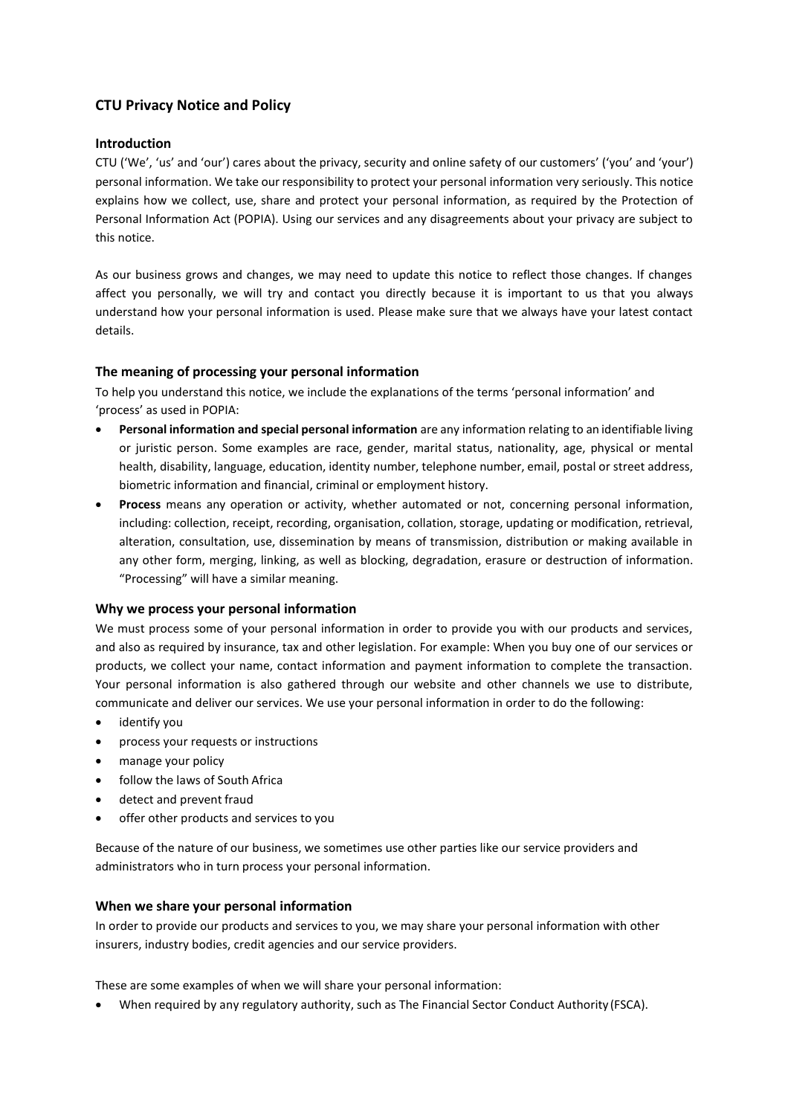# **CTU Privacy Notice and Policy**

## **Introduction**

CTU ('We', 'us' and 'our') cares about the privacy, security and online safety of our customers' ('you' and 'your') personal information. We take our responsibility to protect your personal information very seriously. This notice explains how we collect, use, share and protect your personal information, as required by the Protection of Personal Information Act (POPIA). Using our services and any disagreements about your privacy are subject to this notice.

As our business grows and changes, we may need to update this notice to reflect those changes. If changes affect you personally, we will try and contact you directly because it is important to us that you always understand how your personal information is used. Please make sure that we always have your latest contact details.

## **The meaning of processing your personal information**

To help you understand this notice, we include the explanations of the terms 'personal information' and 'process' as used in POPIA:

- **Personal information and special personal information** are any information relating to an identifiable living or juristic person. Some examples are race, gender, marital status, nationality, age, physical or mental health, disability, language, education, identity number, telephone number, email, postal or street address, biometric information and financial, criminal or employment history.
- **Process** means any operation or activity, whether automated or not, concerning personal information, including: collection, receipt, recording, organisation, collation, storage, updating or modification, retrieval, alteration, consultation, use, dissemination by means of transmission, distribution or making available in any other form, merging, linking, as well as blocking, degradation, erasure or destruction of information. "Processing" will have a similar meaning.

#### **Why we process your personal information**

We must process some of your personal information in order to provide you with our products and services, and also as required by insurance, tax and other legislation. For example: When you buy one of our services or products, we collect your name, contact information and payment information to complete the transaction. Your personal information is also gathered through our website and other channels we use to distribute, communicate and deliver our services. We use your personal information in order to do the following:

- identify you
- process your requests or instructions
- manage your policy
- follow the laws of South Africa
- detect and prevent fraud
- offer other products and services to you

Because of the nature of our business, we sometimes use other parties like our service providers and administrators who in turn process your personal information.

#### **When we share your personal information**

In order to provide our products and services to you, we may share your personal information with other insurers, industry bodies, credit agencies and our service providers.

These are some examples of when we will share your personal information:

• When required by any regulatory authority, such as The Financial Sector Conduct Authority (FSCA).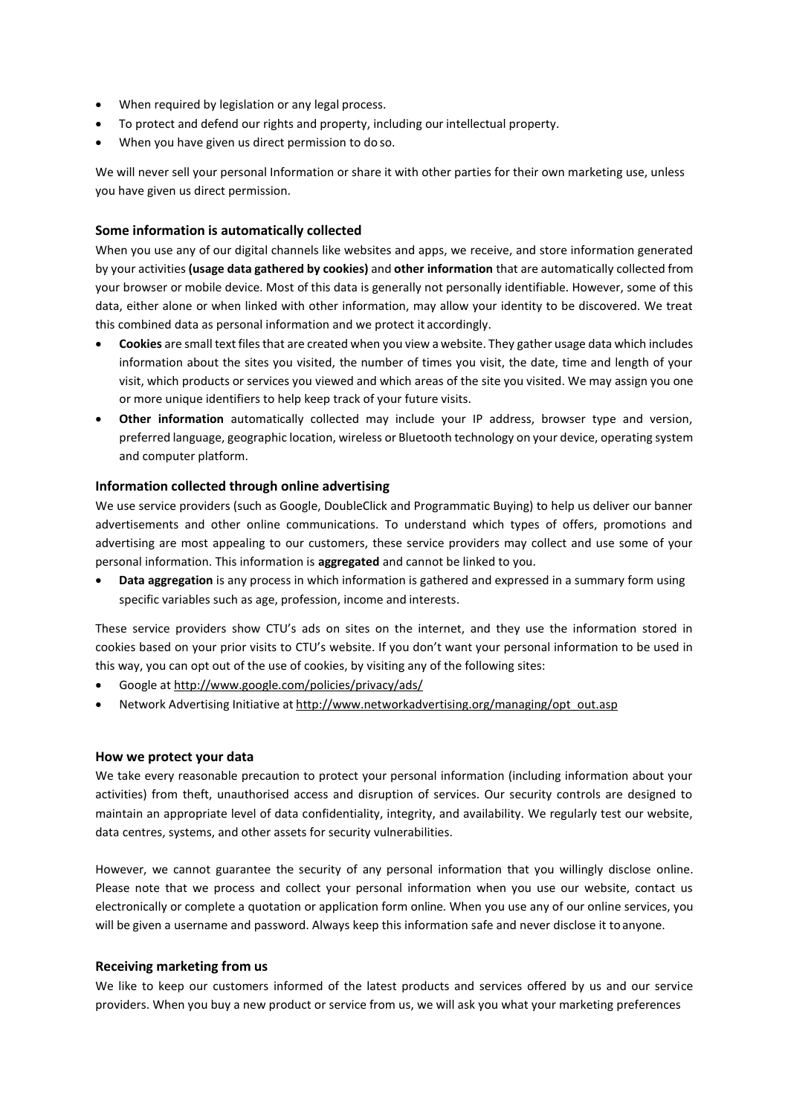- When required by legislation or any legal process.
- To protect and defend our rights and property, including our intellectual property.
- When you have given us direct permission to do so.

We will never sell your personal Information or share it with other parties for their own marketing use, unless you have given us direct permission.

## **Some information is automatically collected**

When you use any of our digital channels like websites and apps, we receive, and store information generated by your activities **(usage data gathered by cookies)** and **other information** that are automatically collected from your browser or mobile device. Most of this data is generally not personally identifiable. However, some of this data, either alone or when linked with other information, may allow your identity to be discovered. We treat this combined data as personal information and we protect it accordingly.

- **Cookies** are small text filesthat are created when you view a website. They gather usage data which includes information about the sites you visited, the number of times you visit, the date, time and length of your visit, which products or services you viewed and which areas of the site you visited. We may assign you one or more unique identifiers to help keep track of your future visits.
- **Other information** automatically collected may include your IP address, browser type and version, preferred language, geographic location, wireless or Bluetooth technology on your device, operating system and computer platform.

## **Information collected through online advertising**

We use service providers (such as Google, DoubleClick and Programmatic Buying) to help us deliver our banner advertisements and other online communications. To understand which types of offers, promotions and advertising are most appealing to our customers, these service providers may collect and use some of your personal information. This information is **aggregated** and cannot be linked to you.

• **Data aggregation** is any process in which information is gathered and expressed in a summary form using specific variables such as age, profession, income and interests.

These service providers show CTU's ads on sites on the internet, and they use the information stored in cookies based on your prior visits to CTU's website. If you don't want your personal information to be used in this way, you can opt out of the use of cookies, by visiting any of the following sites:

- Google at <http://www.google.com/policies/privacy/ads/>
- Network Advertising Initiative at [http://www.networkadvertising.org/managing/opt\\_out.asp](http://www.networkadvertising.org/managing/opt_out.asp)

#### **How we protect your data**

We take every reasonable precaution to protect your personal information (including information about your activities) from theft, unauthorised access and disruption of services. Our security controls are designed to maintain an appropriate level of data confidentiality, integrity, and availability. We regularly test our website, data centres, systems, and other assets for security vulnerabilities.

However, we cannot guarantee the security of any personal information that you willingly disclose online. Please note that we process and collect your personal information when you use our website, contact us electronically or complete a quotation or application form online. When you use any of our online services, you will be given a username and password. Always keep this information safe and never disclose it toanyone.

#### **Receiving marketing from us**

We like to keep our customers informed of the latest products and services offered by us and our service providers. When you buy a new product or service from us, we will ask you what your marketing preferences